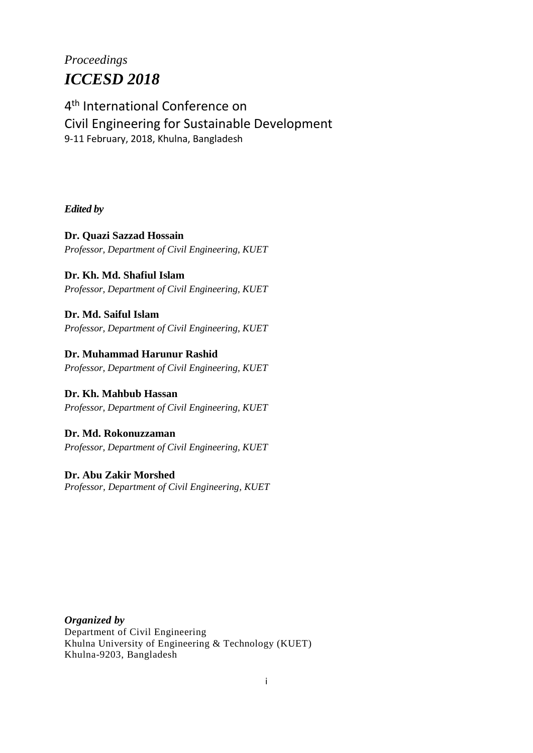# *Proceedings ICCESD 2018*

4 th International Conference on Civil Engineering for Sustainable Development 9-11 February, 2018, Khulna, Bangladesh

*Edited by*

**Dr. Quazi Sazzad Hossain** *Professor, Department of Civil Engineering, KUET*

**Dr. Kh. Md. Shafiul Islam** *Professor, Department of Civil Engineering, KUET*

**Dr. Md. Saiful Islam** *Professor, Department of Civil Engineering, KUET*

**Dr. Muhammad Harunur Rashid** *Professor, Department of Civil Engineering, KUET*

**Dr. Kh. Mahbub Hassan** *Professor, Department of Civil Engineering, KUET*

**Dr. Md. Rokonuzzaman** *Professor, Department of Civil Engineering, KUET*

**Dr. Abu Zakir Morshed** *Professor, Department of Civil Engineering, KUET*

*Organized by* Department of Civil Engineering Khulna University of Engineering & Technology (KUET) Khulna-9203, Bangladesh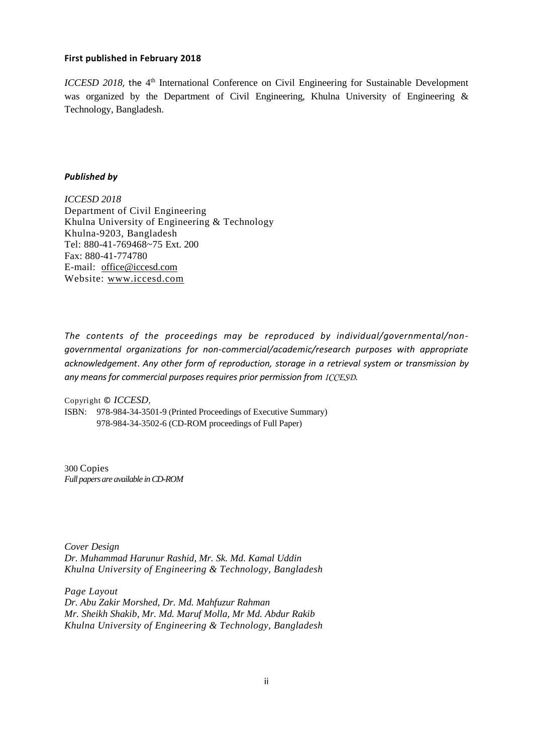#### **First published in February 2018**

*ICCESD 2018*, the 4<sup>th</sup> International Conference on Civil Engineering for Sustainable Development was organized by the Department of Civil Engineering, Khulna University of Engineering & Technology, Bangladesh.

#### *Published by*

*ICCESD 2018* Department of Civil Engineering Khulna University of Engineering & Technology Khulna-9203, Bangladesh Tel: 880-41-769468~75 Ext. 200 Fax: 880-41-774780 E-mail: [office@iccesd.com](mailto:office@iccesd.com) Website: [www.iccesd.com](http://www.iccesd.com/)

*The contents of the proceedings may be reproduced by individual/governmental/nongovernmental organizations for non-commercial/academic/research purposes with appropriate acknowledgement*. *Any other form of reproduction, storage in a retrieval system or transmission by any means for commercial purposes requires prior permission from ICCESD*.

Copyright © *ICCESD,* 

ISBN: 978-984-34-3501-9 (Printed Proceedings of Executive Summary) 978-984-34-3502-6 (CD-ROM proceedings of Full Paper)

300 Copies *Full papers are available in CD-ROM* 

*Cover Design Dr. Muhammad Harunur Rashid, Mr. Sk. Md. Kamal Uddin Khulna University of Engineering & Technology, Bangladesh*

*Page Layout Dr. Abu Zakir Morshed, Dr. Md. Mahfuzur Rahman Mr. Sheikh Shakib, Mr. Md. Maruf Molla, Mr Md. Abdur Rakib Khulna University of Engineering & Technology, Bangladesh*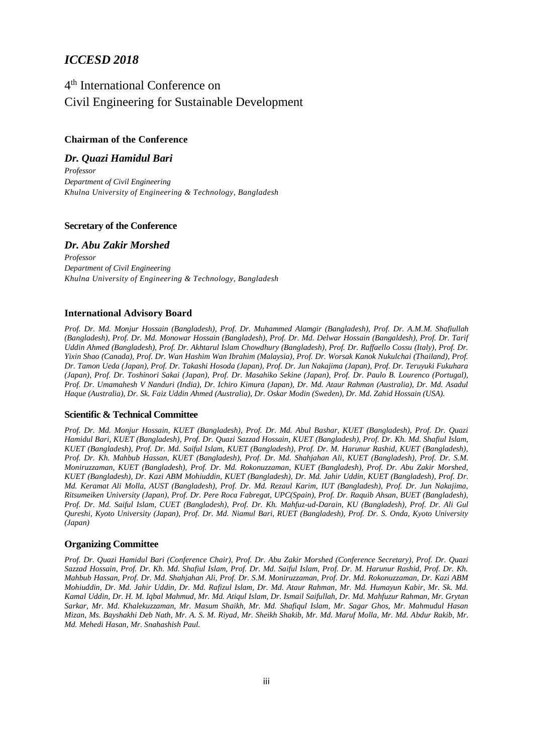### *ICCESD 2018*

## 4 th International Conference on Civil Engineering for Sustainable Development

#### **Chairman of the Conference**

*Dr. Quazi Hamidul Bari Professor Department of Civil Engineering Khulna University of Engineering & Technology, Bangladesh* 

#### **Secretary of the Conference**

#### *Dr. Abu Zakir Morshed*

*Professor Department of Civil Engineering Khulna University of Engineering & Technology, Bangladesh*

#### **International Advisory Board**

*Prof. Dr. Md. Monjur Hossain (Bangladesh), Prof. Dr. Muhammed Alamgir (Bangladesh), Prof. Dr. A.M.M. Shafiullah (Bangladesh), Prof. Dr. Md. Monowar Hossain (Bangladesh), Prof. Dr. Md. Delwar Hossain (Bangaldesh), Prof. Dr. Tarif Uddin Ahmed (Bangladesh), Prof. Dr. Akhtarul Islam Chowdhury (Bangladesh), Prof. Dr. Raffaello Cossu (Italy), Prof. Dr. Yixin Shao (Canada), Prof. Dr. Wan Hashim Wan Ibrahim (Malaysia), Prof. Dr. Worsak Kanok Nukulchai (Thailand), Prof. Dr. Tamon Ueda (Japan), Prof. Dr. Takashi Hosoda (Japan), Prof. Dr. Jun Nakajima (Japan), Prof. Dr. Teruyuki Fukuhara (Japan), Prof. Dr. Toshinori Sakai (Japan), Prof. Dr. Masahiko Sekine (Japan), Prof. Dr. Paulo B. Lourenco (Portugal), Prof. Dr. Umamahesh V Nanduri (India), Dr. Ichiro Kimura (Japan), Dr. Md. Ataur Rahman (Australia), Dr. Md. Asadul Haque (Australia), Dr. Sk. Faiz Uddin Ahmed (Australia), Dr. Oskar Modin (Sweden), Dr. Md. Zahid Hossain (USA).*

#### **Scientific & Technical Committee**

*Prof. Dr. Md. Monjur Hossain, KUET (Bangladesh), Prof. Dr. Md. Abul Bashar, KUET (Bangladesh), Prof. Dr. Quazi Hamidul Bari, KUET (Bangladesh), Prof. Dr. Quazi Sazzad Hossain, KUET (Bangladesh), Prof. Dr. Kh. Md. Shafiul Islam, KUET (Bangladesh), Prof. Dr. Md. Saiful Islam, KUET (Bangladesh), Prof. Dr. M. Harunur Rashid, KUET (Bangladesh), Prof. Dr. Kh. Mahbub Hassan, KUET (Bangladesh), Prof. Dr. Md. Shahjahan Ali, KUET (Bangladesh), Prof. Dr. S.M. Moniruzzaman, KUET (Bangladesh), Prof. Dr. Md. Rokonuzzaman, KUET (Bangladesh), Prof. Dr. Abu Zakir Morshed, KUET (Bangladesh), Dr. Kazi ABM Mohiuddin, KUET (Bangladesh), Dr. Md. Jahir Uddin, KUET (Bangladesh), Prof. Dr. Md. Keramat Ali Molla, AUST (Bangladesh), Prof. Dr. Md. Rezaul Karim, IUT (Bangladesh), Prof. Dr. Jun Nakajima, Ritsumeiken University (Japan), Prof. Dr. Pere Roca Fabregat, UPC(Spain), Prof. Dr. Raquib Ahsan, BUET (Bangladesh), Prof. Dr. Md. Saiful Islam, CUET (Bangladesh), Prof. Dr. Kh. Mahfuz-ud-Darain, KU (Bangladesh), Prof. Dr. Ali Gul Qureshi, Kyoto University (Japan), Prof. Dr. Md. Niamul Bari, RUET (Bangladesh), Prof. Dr. S. Onda, Kyoto University (Japan)*

#### **Organizing Committee**

*Prof. Dr. Quazi Hamidul Bari (Conference Chair), Prof. Dr. Abu Zakir Morshed (Conference Secretary), Prof. Dr. Quazi Sazzad Hossain, Prof. Dr. Kh. Md. Shafiul Islam, Prof. Dr. Md. Saiful Islam, Prof. Dr. M. Harunur Rashid, Prof. Dr. Kh. Mahbub Hassan, Prof. Dr. Md. Shahjahan Ali, Prof. Dr. S.M. Moniruzzaman, Prof. Dr. Md. Rokonuzzaman, Dr. Kazi ABM Mohiuddin, Dr. Md. Jahir Uddin, Dr. Md. Rafizul Islam, Dr. Md. Ataur Rahman, Mr. Md. Humayun Kabir, Mr. Sk. Md. Kamal Uddin, Dr. H. M. Iqbal Mahmud, Mr. Md. Atiqul Islam, Dr. Ismail Saifullah, Dr. Md. Mahfuzur Rahman, Mr. Grytan Sarkar, Mr. Md. Khalekuzzaman, Mr. Masum Shaikh, Mr. Md. Shafiqul Islam, Mr. Sagar Ghos, Mr. Mahmudul Hasan Mizan, Ms. Bayshakhi Deb Nath, Mr. A. S. M. Riyad, Mr. Sheikh Shakib, Mr. Md. Maruf Molla, Mr. Md. Abdur Rakib, Mr. Md. Mehedi Hasan, Mr. Snahashish Paul.*